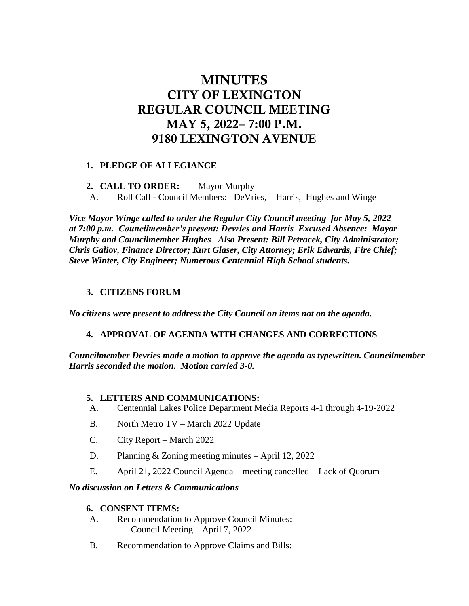# **MINUTES** CITY OF LEXINGTON REGULAR COUNCIL MEETING MAY 5, 2022– 7:00 P.M. 9180 LEXINGTON AVENUE

# **1. PLEDGE OF ALLEGIANCE**

#### **2. CALL TO ORDER:** – Mayor Murphy

A. Roll Call - Council Members: DeVries, Harris, Hughes and Winge

*Vice Mayor Winge called to order the Regular City Council meeting for May 5, 2022 at 7:00 p.m. Councilmember's present: Devries and Harris Excused Absence: Mayor Murphy and Councilmember Hughes Also Present: Bill Petracek, City Administrator; Chris Galiov, Finance Director; Kurt Glaser, City Attorney; Erik Edwards, Fire Chief; Steve Winter, City Engineer; Numerous Centennial High School students.*

# **3. CITIZENS FORUM**

*No citizens were present to address the City Council on items not on the agenda.*

# **4. APPROVAL OF AGENDA WITH CHANGES AND CORRECTIONS**

*Councilmember Devries made a motion to approve the agenda as typewritten. Councilmember Harris seconded the motion. Motion carried 3-0.*

#### **5. LETTERS AND COMMUNICATIONS:**

- A. Centennial Lakes Police Department Media Reports 4-1 through 4-19-2022
- B. North Metro TV March 2022 Update
- C. City Report March 2022
- D. Planning & Zoning meeting minutes April 12, 2022
- E. April 21, 2022 Council Agenda meeting cancelled Lack of Quorum

#### *No discussion on Letters & Communications*

#### **6. CONSENT ITEMS:**

- A. Recommendation to Approve Council Minutes: Council Meeting – April 7, 2022
- B. Recommendation to Approve Claims and Bills: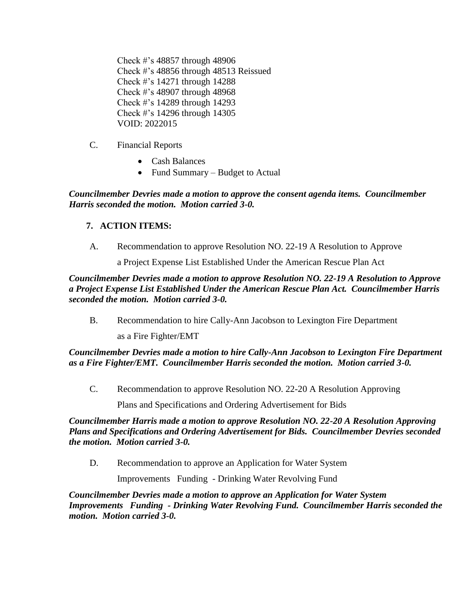Check #'s 48857 through 48906 Check #'s 48856 through 48513 Reissued Check #'s 14271 through 14288 Check #'s 48907 through 48968 Check #'s 14289 through 14293 Check #'s 14296 through 14305 VOID: 2022015

- C. Financial Reports
	- Cash Balances
	- Fund Summary Budget to Actual

*Councilmember Devries made a motion to approve the consent agenda items. Councilmember Harris seconded the motion. Motion carried 3-0.*

# **7. ACTION ITEMS:**

A. Recommendation to approve Resolution NO. 22-19 A Resolution to Approve

a Project Expense List Established Under the American Rescue Plan Act

*Councilmember Devries made a motion to approve Resolution NO. 22-19 A Resolution to Approve a Project Expense List Established Under the American Rescue Plan Act. Councilmember Harris seconded the motion. Motion carried 3-0.*

B. Recommendation to hire Cally-Ann Jacobson to Lexington Fire Department

as a Fire Fighter/EMT

*Councilmember Devries made a motion to hire Cally-Ann Jacobson to Lexington Fire Department as a Fire Fighter/EMT. Councilmember Harris seconded the motion. Motion carried 3-0.*

C. Recommendation to approve Resolution NO. 22-20 A Resolution Approving

Plans and Specifications and Ordering Advertisement for Bids

*Councilmember Harris made a motion to approve Resolution NO. 22-20 A Resolution Approving Plans and Specifications and Ordering Advertisement for Bids. Councilmember Devries seconded the motion. Motion carried 3-0.* 

D. Recommendation to approve an Application for Water System

Improvements Funding - Drinking Water Revolving Fund

*Councilmember Devries made a motion to approve an Application for Water System Improvements Funding - Drinking Water Revolving Fund. Councilmember Harris seconded the motion. Motion carried 3-0.*